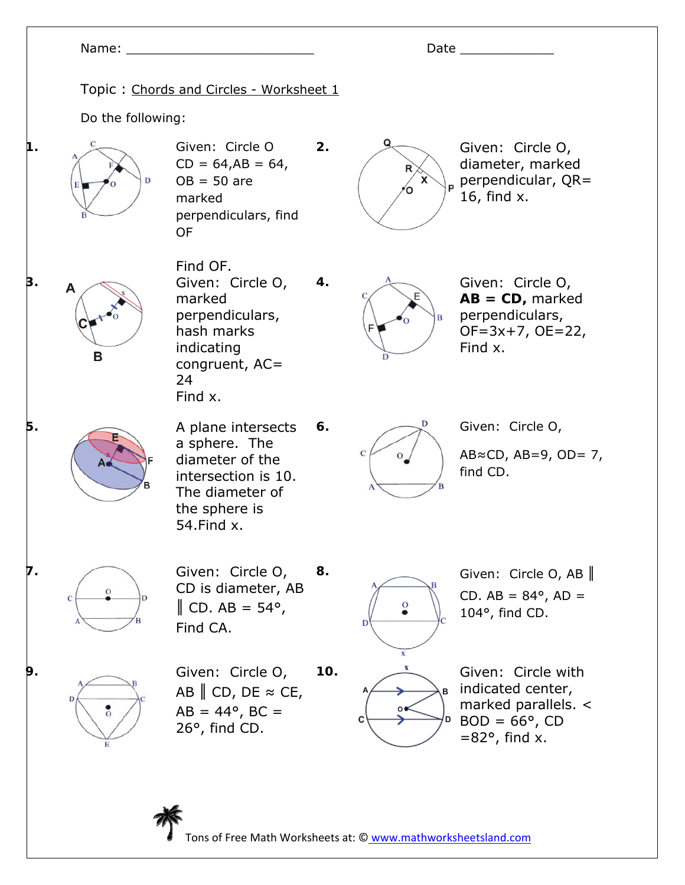## Name: \_\_\_\_\_\_\_\_\_\_\_\_\_\_\_\_\_\_\_\_\_\_\_\_ Date \_\_\_\_\_\_\_\_\_\_\_\_ Topic : Chords and Circles - Worksheet 1 Do the following: **1. C** Given: Circle O **2. Given: Circle O,**  $CD = 64, AB = 64,$ diameter, marked perpendicular, QR=  $OB = 50$  are 16, find x. marked perpendiculars, find OF Find OF. **3. A Given:** Circle O, **4.** Given: Circle O, marked **AB = CD,** marked perpendiculars, perpendiculars, hash marks OF=3x+7, OE=22, indicating Find x. B congruent, AC= 24 Find x. **5.** A plane intersects **6.**  $\qquad \qquad \qquad$  Given: Circle O, a sphere. The  $\mathbf C$ AB≈CD, AB=9, OD=  $7$ , diameter of the find CD. intersection is 10. The diameter of the sphere is 54.Find x. **7.** Given: Circle O, **8. Given: Circle O, AB** CD is diameter, AB CD.  $AB = 84^{\circ}$ ,  $AD =$  $\parallel$  CD. AB = 54°, O 104°, find CD. Find CA. **9.** Given: Circle O, **10.**  $\frac{x}{2}$  Given: Circle with indicated center, AB  $\parallel$  CD, DE  $\approx$  CE, marked parallels. <  $AB = 44^{\circ}, BC =$  $BOD = 66^\circ$ , CD 26°, find CD.  $=82^\circ$ , find x.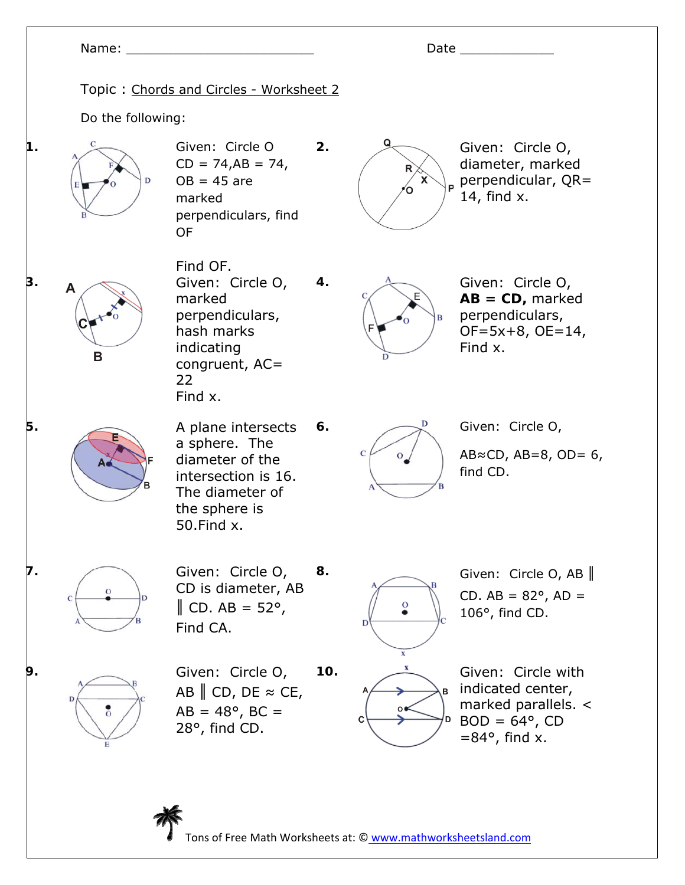## Name: \_\_\_\_\_\_\_\_\_\_\_\_\_\_\_\_\_\_\_\_\_\_\_\_ Date \_\_\_\_\_\_\_\_\_\_\_\_ Topic : Chords and Circles - Worksheet 2 Do the following: **1. C** Given: Circle O **2. Given: Circle O,**  $CD = 74, AB = 74,$ diameter, marked perpendicular, QR=  $OB = 45$  are 14, find x. marked perpendiculars, find OF Find OF. **3. A Given:** Circle O, **4.** Given: Circle O, marked **AB = CD,** marked perpendiculars, perpendiculars, hash marks OF=5x+8, OE=14, indicating Find x. B congruent, AC= 22 Find x. **5.** A plane intersects **6.**  $\qquad \qquad \qquad$  Given: Circle O, a sphere. The  $\mathbf C$ AB≈CD, AB=8, OD=  $6$ , diameter of the find CD. intersection is 16. The diameter of the sphere is 50.Find x. **7.** Given: Circle O, **8. Given: Circle O, AB** CD is diameter, AB CD.  $AB = 82^{\circ}$ ,  $AD =$  $\parallel$  CD. AB = 52°, O 106°, find CD. Find CA. **9.** Given: Circle O, **10.**  $\frac{x}{2}$  Given: Circle with indicated center, AB  $\parallel$  CD, DE  $\approx$  CE, marked parallels. <  $AB = 48^{\circ}$ , BC =  $BOD = 64^{\circ}$ , CD 28°, find CD.  $=84^\circ$ , find x.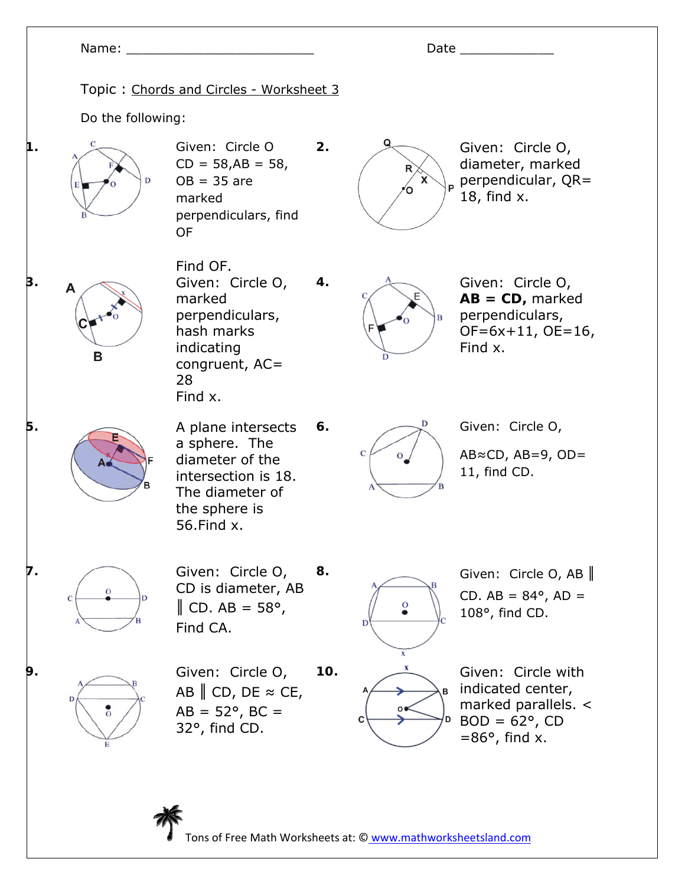## Name: \_\_\_\_\_\_\_\_\_\_\_\_\_\_\_\_\_\_\_\_\_\_\_\_ Date \_\_\_\_\_\_\_\_\_\_\_\_ Topic : Chords and Circles - Worksheet 3 Do the following: **1. C** Given: Circle O **2. Given: Circle O,**  $CD = 58, AB = 58,$ diameter, marked perpendicular, QR=  $OB = 35$  are 18, find x. marked perpendiculars, find OF Find OF. **3. A Given:** Circle O, **4.** Given: Circle O, marked **AB = CD,** marked perpendiculars, perpendiculars, hash marks OF=6x+11, OE=16, indicating Find x. В congruent, AC= 28 Find x. **5.** A plane intersects **6.**  $\qquad \qquad \qquad$  Given: Circle O, a sphere. The  $\mathbf C$ AB≈CD, AB=9, OD= diameter of the 11, find CD. intersection is 18. The diameter of the sphere is 56.Find x. **7.** Given: Circle O, **8. Given: Circle O, AB** CD is diameter, AB CD.  $AB = 84^{\circ}$ ,  $AD =$  $\parallel$  CD. AB = 58°, O 108°, find CD. Find CA. **9.** Given: Circle O, **10.**  $\frac{x}{2}$  Given: Circle with indicated center, AB  $\parallel$  CD, DE  $\approx$  CE, marked parallels. <  $AB = 52^{\circ}$ , BC =  $BOD = 62^{\circ}$ , CD 32°, find CD.  $=86^\circ$ , find x.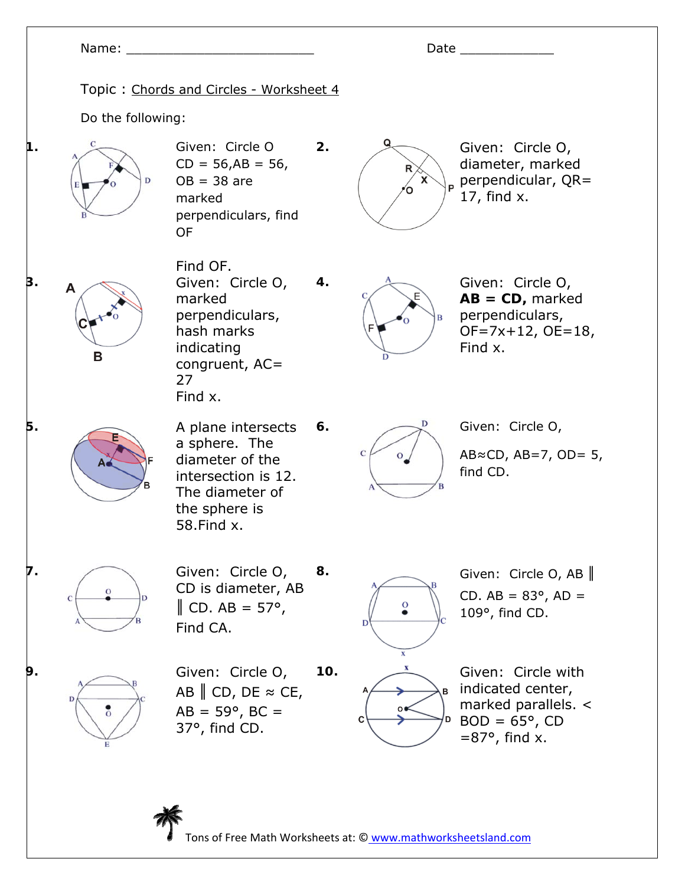## Name: \_\_\_\_\_\_\_\_\_\_\_\_\_\_\_\_\_\_\_\_\_\_\_\_ Date \_\_\_\_\_\_\_\_\_\_\_\_ Topic : Chords and Circles - Worksheet 4 Do the following: **1. C** Given: Circle O **2. Given: Circle O,**  $CD = 56, AB = 56,$ diameter, marked perpendicular, QR=  $OB = 38$  are 17, find x. marked perpendiculars, find OF Find OF. **3. A Given:** Circle O, **4.** Given: Circle O, marked **AB = CD,** marked perpendiculars, perpendiculars, hash marks OF=7x+12, OE=18, indicating Find x. B congruent, AC= 27 Find x. **5.** A plane intersects **6.**  $\qquad \qquad \qquad$  Given: Circle O, a sphere. The  $\mathbf C$  $AB \approx CD$ ,  $AB = 7$ ,  $OD = 5$ , diameter of the find CD. intersection is 12. The diameter of the sphere is 58.Find x. **7.** Given: Circle O, **8. Given: Circle O, AB** CD is diameter, AB CD.  $AB = 83^{\circ}$ ,  $AD =$  $\parallel$  CD. AB = 57°, O 109°, find CD. Find CA. **9.** Given: Circle O, **10.**  $\frac{x}{2}$  Given: Circle with indicated center, AB  $\parallel$  CD, DE  $\approx$  CE, marked parallels. <  $AB = 59^{\circ}$ , BC =  $BOD = 65^\circ$ , CD 37°, find CD.

Tons of Free Math Worksheets at: © www.mathworksheetsland.com

 $=87^\circ$ , find x.